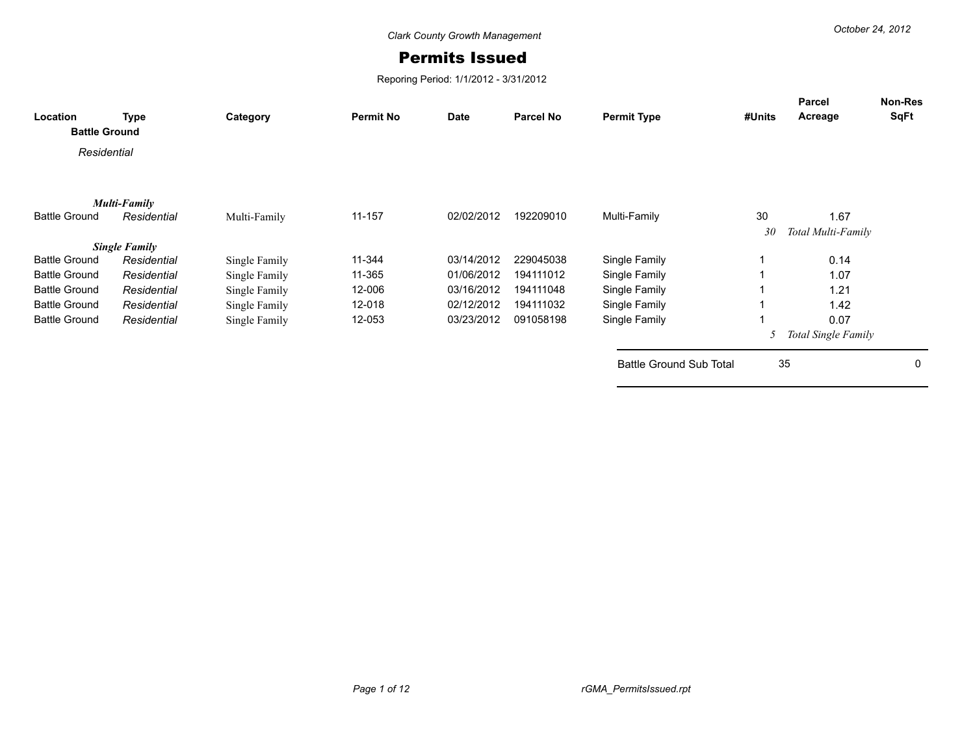## Permits Issued

Reporing Period: 1/1/2012 - 3/31/2012

| Location<br><b>Battle Ground</b> | <b>Type</b>          | Category      | <b>Permit No</b> | <b>Date</b> | <b>Parcel No</b> | <b>Permit Type</b>             | #Units | Parcel<br>Acreage   | Non-Res<br>SqFt |
|----------------------------------|----------------------|---------------|------------------|-------------|------------------|--------------------------------|--------|---------------------|-----------------|
| Residential                      |                      |               |                  |             |                  |                                |        |                     |                 |
|                                  |                      |               |                  |             |                  |                                |        |                     |                 |
|                                  | <b>Multi-Family</b>  |               |                  |             |                  |                                |        |                     |                 |
| <b>Battle Ground</b>             | Residential          | Multi-Family  | 11-157           | 02/02/2012  | 192209010        | Multi-Family                   | 30     | 1.67                |                 |
|                                  |                      |               |                  |             |                  |                                | 30     | Total Multi-Family  |                 |
|                                  | <b>Single Family</b> |               |                  |             |                  |                                |        |                     |                 |
| <b>Battle Ground</b>             | Residential          | Single Family | 11-344           | 03/14/2012  | 229045038        | Single Family                  |        | 0.14                |                 |
| <b>Battle Ground</b>             | Residential          | Single Family | 11-365           | 01/06/2012  | 194111012        | Single Family                  |        | 1.07                |                 |
| <b>Battle Ground</b>             | Residential          | Single Family | 12-006           | 03/16/2012  | 194111048        | Single Family                  |        | 1.21                |                 |
| <b>Battle Ground</b>             | Residential          | Single Family | 12-018           | 02/12/2012  | 194111032        | Single Family                  |        | 1.42                |                 |
| <b>Battle Ground</b>             | Residential          | Single Family | 12-053           | 03/23/2012  | 091058198        | Single Family                  |        | 0.07                |                 |
|                                  |                      |               |                  |             |                  |                                |        | Total Single Family |                 |
|                                  |                      |               |                  |             |                  | <b>Battle Ground Sub Total</b> |        | 35                  | 0               |
|                                  |                      |               |                  |             |                  |                                |        |                     |                 |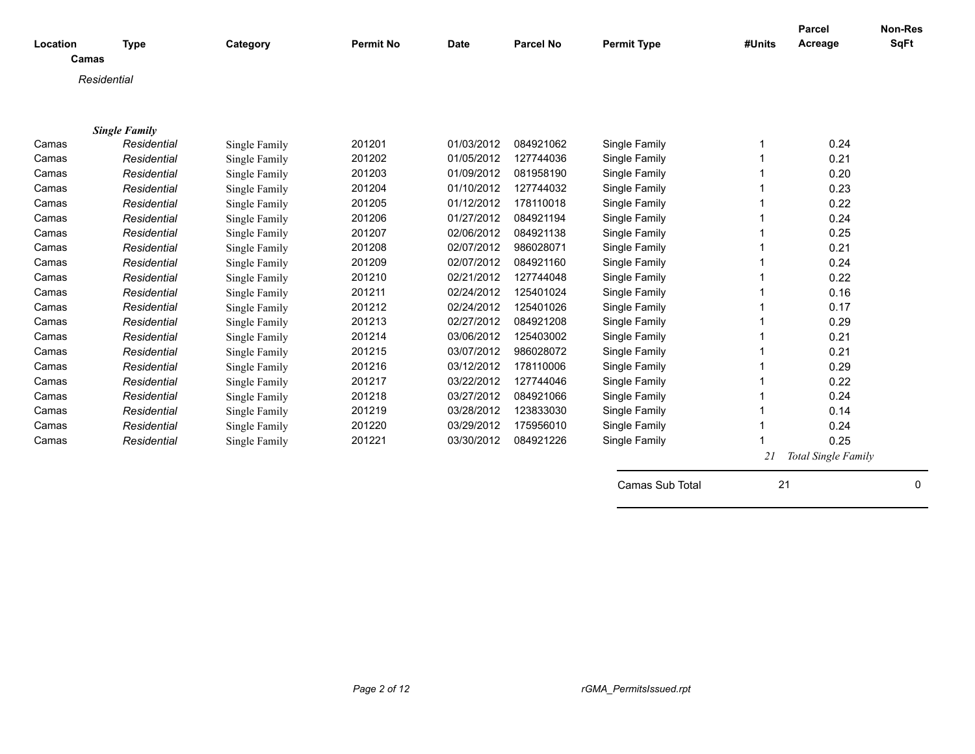|                   |                                     |               |                  |             |                  |                    |        | Parcel<br>Acreage   | <b>Non-Res</b><br><b>SqFt</b> |
|-------------------|-------------------------------------|---------------|------------------|-------------|------------------|--------------------|--------|---------------------|-------------------------------|
| Location<br>Camas | <b>Type</b>                         | Category      | <b>Permit No</b> | <b>Date</b> | <b>Parcel No</b> | <b>Permit Type</b> | #Units |                     |                               |
|                   |                                     |               |                  |             |                  |                    |        |                     |                               |
|                   | Residential                         |               |                  |             |                  |                    |        |                     |                               |
|                   |                                     |               |                  |             |                  |                    |        |                     |                               |
|                   |                                     |               |                  |             |                  |                    |        |                     |                               |
| Camas             | <b>Single Family</b><br>Residential |               | 201201           | 01/03/2012  | 084921062        | Single Family      |        | 0.24                |                               |
|                   |                                     | Single Family | 201202           | 01/05/2012  | 127744036        |                    |        | 0.21                |                               |
| Camas             | Residential                         | Single Family |                  |             |                  | Single Family      |        |                     |                               |
| Camas             | Residential                         | Single Family | 201203           | 01/09/2012  | 081958190        | Single Family      |        | 0.20                |                               |
| Camas             | Residential                         | Single Family | 201204           | 01/10/2012  | 127744032        | Single Family      |        | 0.23                |                               |
| Camas             | Residential                         | Single Family | 201205           | 01/12/2012  | 178110018        | Single Family      |        | 0.22                |                               |
| Camas             | Residential                         | Single Family | 201206           | 01/27/2012  | 084921194        | Single Family      |        | 0.24                |                               |
| Camas             | Residential                         | Single Family | 201207           | 02/06/2012  | 084921138        | Single Family      |        | 0.25                |                               |
| Camas             | Residential                         | Single Family | 201208           | 02/07/2012  | 986028071        | Single Family      |        | 0.21                |                               |
| Camas             | Residential                         | Single Family | 201209           | 02/07/2012  | 084921160        | Single Family      |        | 0.24                |                               |
| Camas             | Residential                         | Single Family | 201210           | 02/21/2012  | 127744048        | Single Family      |        | 0.22                |                               |
| Camas             | Residential                         | Single Family | 201211           | 02/24/2012  | 125401024        | Single Family      |        | 0.16                |                               |
| Camas             | Residential                         | Single Family | 201212           | 02/24/2012  | 125401026        | Single Family      |        | 0.17                |                               |
| Camas             | Residential                         | Single Family | 201213           | 02/27/2012  | 084921208        | Single Family      |        | 0.29                |                               |
| Camas             | Residential                         | Single Family | 201214           | 03/06/2012  | 125403002        | Single Family      |        | 0.21                |                               |
| Camas             | Residential                         | Single Family | 201215           | 03/07/2012  | 986028072        | Single Family      |        | 0.21                |                               |
| Camas             | Residential                         | Single Family | 201216           | 03/12/2012  | 178110006        | Single Family      |        | 0.29                |                               |
| Camas             | Residential                         | Single Family | 201217           | 03/22/2012  | 127744046        | Single Family      |        | 0.22                |                               |
| Camas             | Residential                         | Single Family | 201218           | 03/27/2012  | 084921066        | Single Family      |        | 0.24                |                               |
| Camas             | Residential                         | Single Family | 201219           | 03/28/2012  | 123833030        | Single Family      |        | 0.14                |                               |
| Camas             | Residential                         | Single Family | 201220           | 03/29/2012  | 175956010        | Single Family      |        | 0.24                |                               |
| Camas             | Residential                         | Single Family | 201221           | 03/30/2012  | 084921226        | Single Family      |        | 0.25                |                               |
|                   |                                     |               |                  |             |                  |                    | 21     | Total Single Family |                               |
|                   |                                     |               |                  |             |                  | Camas Sub Total    | 21     |                     | 0                             |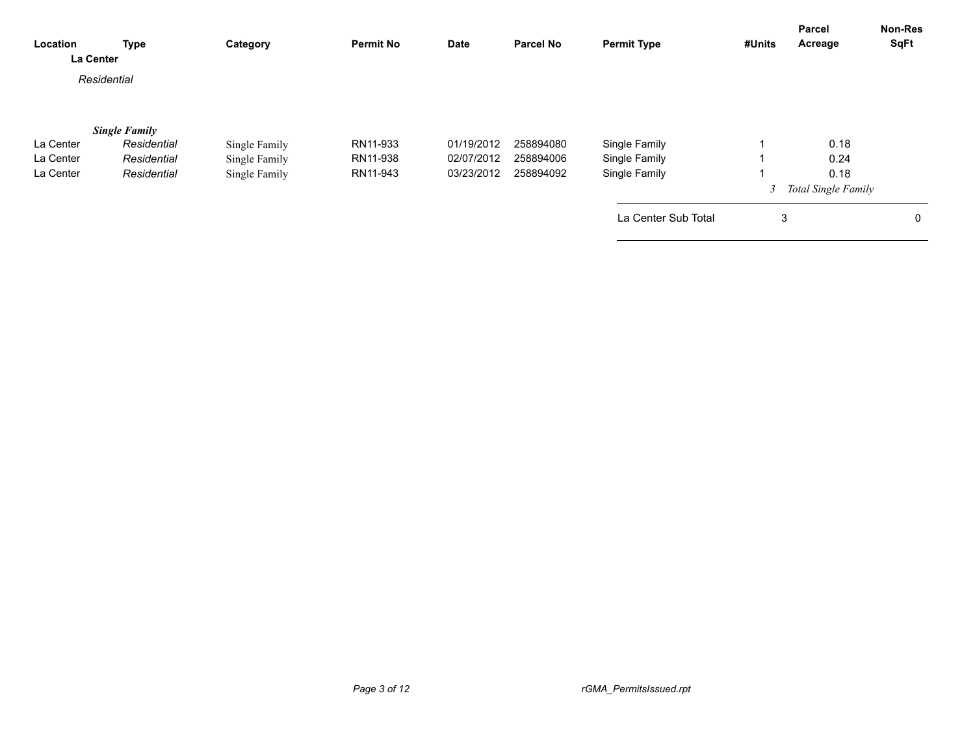| Location<br>La Center | <b>Type</b>          | Category      | <b>Permit No</b> | <b>Date</b> | <b>Parcel No</b> | <b>Permit Type</b>  | #Units | <b>Parcel</b><br>Acreage | <b>Non-Res</b><br><b>SqFt</b> |
|-----------------------|----------------------|---------------|------------------|-------------|------------------|---------------------|--------|--------------------------|-------------------------------|
|                       | Residential          |               |                  |             |                  |                     |        |                          |                               |
|                       |                      |               |                  |             |                  |                     |        |                          |                               |
|                       | <b>Single Family</b> |               |                  |             |                  |                     |        |                          |                               |
| La Center             | Residential          | Single Family | RN11-933         | 01/19/2012  | 258894080        | Single Family       |        | 0.18                     |                               |
| La Center             | Residential          | Single Family | RN11-938         | 02/07/2012  | 258894006        | Single Family       |        | 0.24                     |                               |
| La Center             | Residential          | Single Family | RN11-943         | 03/23/2012  | 258894092        | Single Family       |        | 0.18                     |                               |
|                       |                      |               |                  |             |                  |                     |        | 3 Total Single Family    |                               |
|                       |                      |               |                  |             |                  | La Center Sub Total | 3      |                          | 0                             |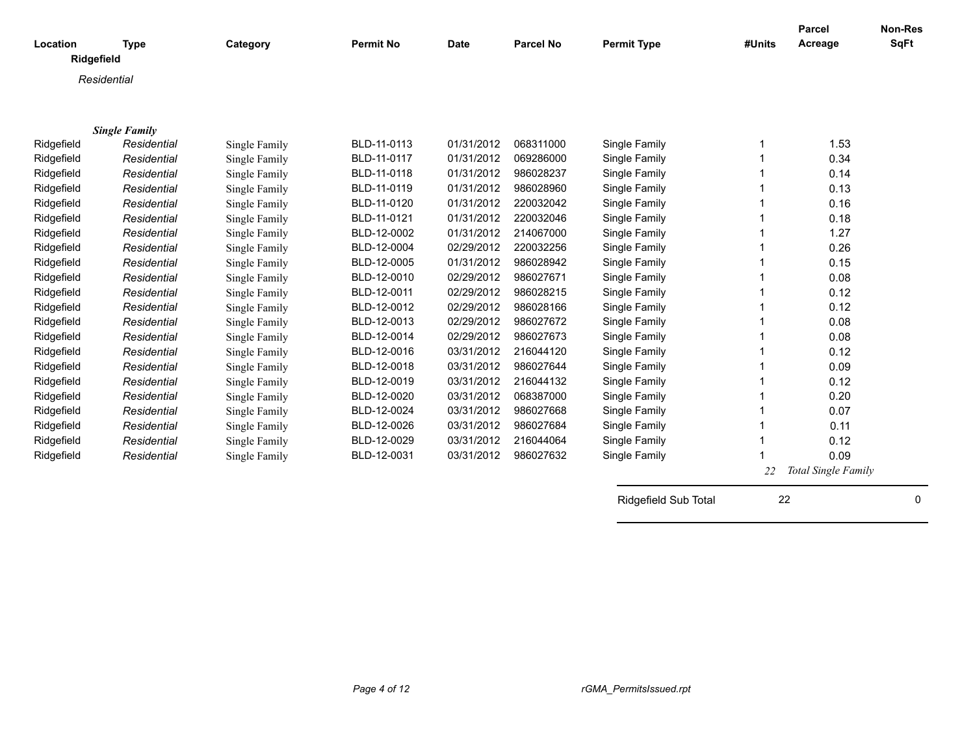| Location   | <b>Type</b>          | Category      | <b>Permit No</b> | <b>Date</b> | <b>Parcel No</b> | <b>Permit Type</b>   | #Units | <b>Parcel</b><br>Acreage | Non-Res<br><b>SqFt</b> |
|------------|----------------------|---------------|------------------|-------------|------------------|----------------------|--------|--------------------------|------------------------|
|            | Ridgefield           |               |                  |             |                  |                      |        |                          |                        |
|            | Residential          |               |                  |             |                  |                      |        |                          |                        |
|            |                      |               |                  |             |                  |                      |        |                          |                        |
|            |                      |               |                  |             |                  |                      |        |                          |                        |
|            | <b>Single Family</b> |               |                  |             |                  |                      |        |                          |                        |
| Ridgefield | Residential          | Single Family | BLD-11-0113      | 01/31/2012  | 068311000        | Single Family        |        | 1.53                     |                        |
| Ridgefield | Residential          | Single Family | BLD-11-0117      | 01/31/2012  | 069286000        | Single Family        |        | 0.34                     |                        |
| Ridgefield | Residential          | Single Family | BLD-11-0118      | 01/31/2012  | 986028237        | Single Family        |        | 0.14                     |                        |
| Ridgefield | Residential          | Single Family | BLD-11-0119      | 01/31/2012  | 986028960        | Single Family        |        | 0.13                     |                        |
| Ridgefield | Residential          | Single Family | BLD-11-0120      | 01/31/2012  | 220032042        | Single Family        |        | 0.16                     |                        |
| Ridgefield | Residential          | Single Family | BLD-11-0121      | 01/31/2012  | 220032046        | Single Family        |        | 0.18                     |                        |
| Ridgefield | Residential          | Single Family | BLD-12-0002      | 01/31/2012  | 214067000        | Single Family        |        | 1.27                     |                        |
| Ridgefield | Residential          | Single Family | BLD-12-0004      | 02/29/2012  | 220032256        | Single Family        |        | 0.26                     |                        |
| Ridgefield | Residential          | Single Family | BLD-12-0005      | 01/31/2012  | 986028942        | Single Family        |        | 0.15                     |                        |
| Ridgefield | Residential          | Single Family | BLD-12-0010      | 02/29/2012  | 986027671        | Single Family        |        | 0.08                     |                        |
| Ridgefield | Residential          | Single Family | BLD-12-0011      | 02/29/2012  | 986028215        | Single Family        |        | 0.12                     |                        |
| Ridgefield | Residential          | Single Family | BLD-12-0012      | 02/29/2012  | 986028166        | Single Family        |        | 0.12                     |                        |
| Ridgefield | Residential          | Single Family | BLD-12-0013      | 02/29/2012  | 986027672        | Single Family        |        | 0.08                     |                        |
| Ridgefield | Residential          | Single Family | BLD-12-0014      | 02/29/2012  | 986027673        | Single Family        |        | 0.08                     |                        |
| Ridgefield | Residential          | Single Family | BLD-12-0016      | 03/31/2012  | 216044120        | Single Family        |        | 0.12                     |                        |
| Ridgefield | Residential          | Single Family | BLD-12-0018      | 03/31/2012  | 986027644        | Single Family        |        | 0.09                     |                        |
| Ridgefield | Residential          | Single Family | BLD-12-0019      | 03/31/2012  | 216044132        | Single Family        |        | 0.12                     |                        |
| Ridgefield | Residential          | Single Family | BLD-12-0020      | 03/31/2012  | 068387000        | Single Family        |        | 0.20                     |                        |
| Ridgefield | Residential          | Single Family | BLD-12-0024      | 03/31/2012  | 986027668        | Single Family        |        | 0.07                     |                        |
| Ridgefield | Residential          | Single Family | BLD-12-0026      | 03/31/2012  | 986027684        | Single Family        |        | 0.11                     |                        |
| Ridgefield | Residential          | Single Family | BLD-12-0029      | 03/31/2012  | 216044064        | Single Family        |        | 0.12                     |                        |
| Ridgefield | Residential          | Single Family | BLD-12-0031      | 03/31/2012  | 986027632        | Single Family        |        | 0.09                     |                        |
|            |                      |               |                  |             |                  |                      | 22     | Total Single Family      |                        |
|            |                      |               |                  |             |                  |                      |        |                          |                        |
|            |                      |               |                  |             |                  | Ridgefield Sub Total | 22     |                          | 0                      |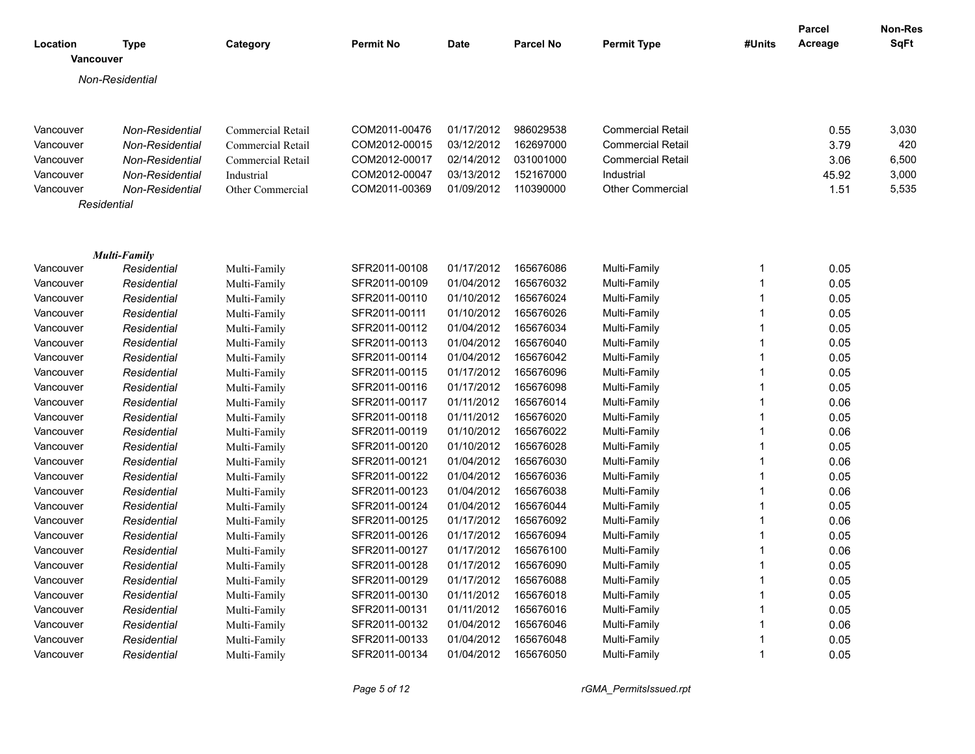| Location<br>Vancouver | <b>Type</b>                        | Category                     | <b>Permit No</b> | Date       | <b>Parcel No</b> | <b>Permit Type</b>       | #Units | Parcel<br>Acreage | Non-Res<br>SqFt |
|-----------------------|------------------------------------|------------------------------|------------------|------------|------------------|--------------------------|--------|-------------------|-----------------|
|                       |                                    |                              |                  |            |                  |                          |        |                   |                 |
|                       | Non-Residential                    |                              |                  |            |                  |                          |        |                   |                 |
|                       |                                    |                              |                  |            |                  |                          |        |                   |                 |
| Vancouver             | Non-Residential                    | <b>Commercial Retail</b>     | COM2011-00476    | 01/17/2012 | 986029538        | <b>Commercial Retail</b> |        | 0.55              | 3,030           |
| Vancouver             | Non-Residential                    | Commercial Retail            | COM2012-00015    | 03/12/2012 | 162697000        | <b>Commercial Retail</b> |        | 3.79              | 420             |
| Vancouver             | Non-Residential                    | Commercial Retail            | COM2012-00017    | 02/14/2012 | 031001000        | <b>Commercial Retail</b> |        | 3.06              | 6,500           |
| Vancouver             | Non-Residential                    | Industrial                   | COM2012-00047    | 03/13/2012 | 152167000        | Industrial               |        | 45.92             | 3,000           |
| Vancouver             | Non-Residential                    | Other Commercial             | COM2011-00369    | 01/09/2012 | 110390000        | <b>Other Commercial</b>  |        | 1.51              | 5,535           |
|                       | Residential                        |                              |                  |            |                  |                          |        |                   |                 |
|                       |                                    |                              |                  |            |                  |                          |        |                   |                 |
|                       |                                    |                              |                  |            |                  |                          |        |                   |                 |
| Vancouver             | <b>Multi-Family</b><br>Residential |                              | SFR2011-00108    | 01/17/2012 | 165676086        | Multi-Family             | 1      | 0.05              |                 |
| Vancouver             | Residential                        | Multi-Family<br>Multi-Family | SFR2011-00109    | 01/04/2012 | 165676032        | Multi-Family             | 1      | 0.05              |                 |
| Vancouver             | Residential                        | Multi-Family                 | SFR2011-00110    | 01/10/2012 | 165676024        | Multi-Family             |        | 0.05              |                 |
| Vancouver             | Residential                        | Multi-Family                 | SFR2011-00111    | 01/10/2012 | 165676026        | Multi-Family             |        | 0.05              |                 |
| Vancouver             | Residential                        | Multi-Family                 | SFR2011-00112    | 01/04/2012 | 165676034        | Multi-Family             |        | 0.05              |                 |
| Vancouver             | Residential                        | Multi-Family                 | SFR2011-00113    | 01/04/2012 | 165676040        | Multi-Family             | 1      | 0.05              |                 |
| Vancouver             | Residential                        | Multi-Family                 | SFR2011-00114    | 01/04/2012 | 165676042        | Multi-Family             | 1      | 0.05              |                 |
| Vancouver             | Residential                        | Multi-Family                 | SFR2011-00115    | 01/17/2012 | 165676096        | Multi-Family             | 1      | 0.05              |                 |
| Vancouver             | Residential                        | Multi-Family                 | SFR2011-00116    | 01/17/2012 | 165676098        | Multi-Family             | 1      | 0.05              |                 |
| Vancouver             | Residential                        | Multi-Family                 | SFR2011-00117    | 01/11/2012 | 165676014        | Multi-Family             | 1      | 0.06              |                 |
| Vancouver             | Residential                        | Multi-Family                 | SFR2011-00118    | 01/11/2012 | 165676020        | Multi-Family             | 1      | 0.05              |                 |
| Vancouver             | Residential                        | Multi-Family                 | SFR2011-00119    | 01/10/2012 | 165676022        | Multi-Family             | 1      | 0.06              |                 |
| Vancouver             | Residential                        | Multi-Family                 | SFR2011-00120    | 01/10/2012 | 165676028        | Multi-Family             | 1      | 0.05              |                 |
| Vancouver             | Residential                        | Multi-Family                 | SFR2011-00121    | 01/04/2012 | 165676030        | Multi-Family             | 1      | 0.06              |                 |
| Vancouver             | Residential                        | Multi-Family                 | SFR2011-00122    | 01/04/2012 | 165676036        | Multi-Family             | 1      | 0.05              |                 |
| Vancouver             | Residential                        | Multi-Family                 | SFR2011-00123    | 01/04/2012 | 165676038        | Multi-Family             | 1      | 0.06              |                 |
| Vancouver             | Residential                        | Multi-Family                 | SFR2011-00124    | 01/04/2012 | 165676044        | Multi-Family             | 1      | 0.05              |                 |
| Vancouver             | Residential                        | Multi-Family                 | SFR2011-00125    | 01/17/2012 | 165676092        | Multi-Family             | 1      | 0.06              |                 |
| Vancouver             | Residential                        | Multi-Family                 | SFR2011-00126    | 01/17/2012 | 165676094        | Multi-Family             | 1      | 0.05              |                 |
| Vancouver             | Residential                        | Multi-Family                 | SFR2011-00127    | 01/17/2012 | 165676100        | Multi-Family             | 1      | 0.06              |                 |
| Vancouver             | Residential                        | Multi-Family                 | SFR2011-00128    | 01/17/2012 | 165676090        | Multi-Family             | 1      | 0.05              |                 |
| Vancouver             | Residential                        | Multi-Family                 | SFR2011-00129    | 01/17/2012 | 165676088        | Multi-Family             | 1      | 0.05              |                 |
| Vancouver             | Residential                        | Multi-Family                 | SFR2011-00130    | 01/11/2012 | 165676018        | Multi-Family             |        | 0.05              |                 |
| Vancouver             | Residential                        | Multi-Family                 | SFR2011-00131    | 01/11/2012 | 165676016        | Multi-Family             |        | 0.05              |                 |
| Vancouver             | Residential                        | Multi-Family                 | SFR2011-00132    | 01/04/2012 | 165676046        | Multi-Family             |        | 0.06              |                 |
| Vancouver             | Residential                        | Multi-Family                 | SFR2011-00133    | 01/04/2012 | 165676048        | Multi-Family             |        | 0.05              |                 |
| Vancouver             | Residential                        | Multi-Family                 | SFR2011-00134    | 01/04/2012 | 165676050        | Multi-Family             | 1      | 0.05              |                 |
|                       |                                    |                              |                  |            |                  |                          |        |                   |                 |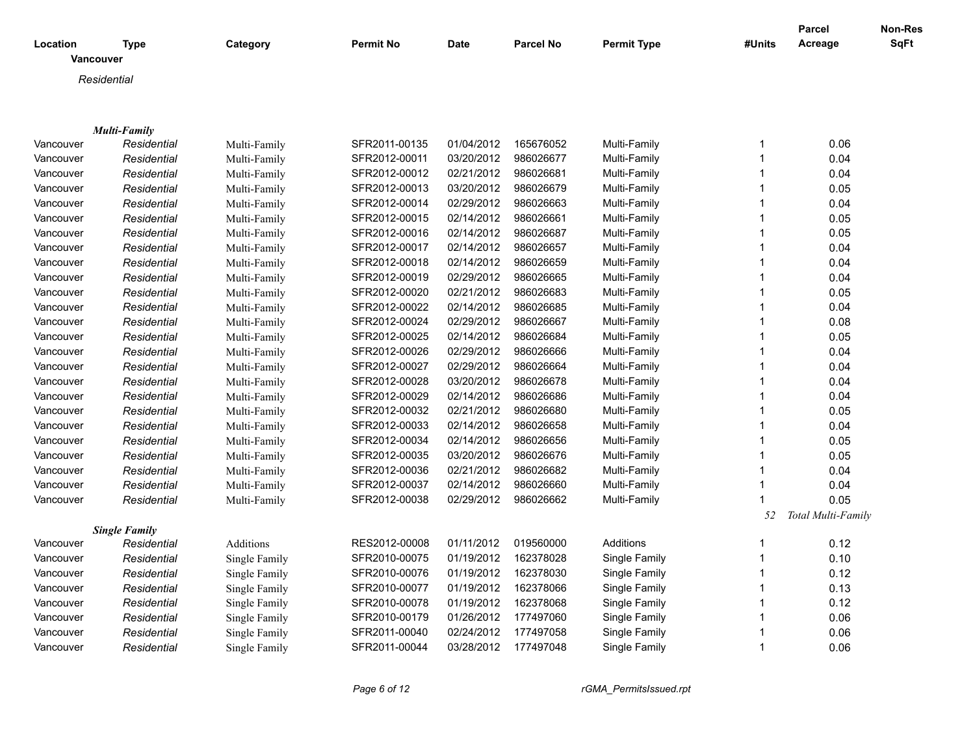| Location  | Type<br>Vancouver    | Category      | <b>Permit No</b> | <b>Date</b> | <b>Parcel No</b> | <b>Permit Type</b> | #Units       | Parcel<br>Acreage  | Non-Res<br>SqFt |
|-----------|----------------------|---------------|------------------|-------------|------------------|--------------------|--------------|--------------------|-----------------|
|           | Residential          |               |                  |             |                  |                    |              |                    |                 |
|           |                      |               |                  |             |                  |                    |              |                    |                 |
|           |                      |               |                  |             |                  |                    |              |                    |                 |
|           | <b>Multi-Family</b>  |               |                  |             |                  |                    |              |                    |                 |
| Vancouver | Residential          | Multi-Family  | SFR2011-00135    | 01/04/2012  | 165676052        | Multi-Family       | 1            | 0.06               |                 |
| Vancouver | Residential          | Multi-Family  | SFR2012-00011    | 03/20/2012  | 986026677        | Multi-Family       | 1            | 0.04               |                 |
| Vancouver | Residential          | Multi-Family  | SFR2012-00012    | 02/21/2012  | 986026681        | Multi-Family       | $\mathbf{1}$ | 0.04               |                 |
| Vancouver | Residential          | Multi-Family  | SFR2012-00013    | 03/20/2012  | 986026679        | Multi-Family       | $\mathbf{1}$ | 0.05               |                 |
| Vancouver | Residential          | Multi-Family  | SFR2012-00014    | 02/29/2012  | 986026663        | Multi-Family       | $\mathbf{1}$ | 0.04               |                 |
| Vancouver | Residential          | Multi-Family  | SFR2012-00015    | 02/14/2012  | 986026661        | Multi-Family       | 1            | 0.05               |                 |
| Vancouver | Residential          | Multi-Family  | SFR2012-00016    | 02/14/2012  | 986026687        | Multi-Family       | $\mathbf{1}$ | 0.05               |                 |
| Vancouver | Residential          | Multi-Family  | SFR2012-00017    | 02/14/2012  | 986026657        | Multi-Family       | $\mathbf{1}$ | 0.04               |                 |
| Vancouver | Residential          | Multi-Family  | SFR2012-00018    | 02/14/2012  | 986026659        | Multi-Family       | $\mathbf{1}$ | 0.04               |                 |
| Vancouver | Residential          | Multi-Family  | SFR2012-00019    | 02/29/2012  | 986026665        | Multi-Family       | 1            | 0.04               |                 |
| Vancouver | Residential          | Multi-Family  | SFR2012-00020    | 02/21/2012  | 986026683        | Multi-Family       | $\mathbf{1}$ | 0.05               |                 |
| Vancouver | Residential          | Multi-Family  | SFR2012-00022    | 02/14/2012  | 986026685        | Multi-Family       | $\mathbf{1}$ | 0.04               |                 |
| Vancouver | Residential          | Multi-Family  | SFR2012-00024    | 02/29/2012  | 986026667        | Multi-Family       | $\mathbf{1}$ | 0.08               |                 |
| Vancouver | Residential          | Multi-Family  | SFR2012-00025    | 02/14/2012  | 986026684        | Multi-Family       | $\mathbf{1}$ | 0.05               |                 |
| Vancouver | Residential          | Multi-Family  | SFR2012-00026    | 02/29/2012  | 986026666        | Multi-Family       | 1            | 0.04               |                 |
| Vancouver | Residential          | Multi-Family  | SFR2012-00027    | 02/29/2012  | 986026664        | Multi-Family       | $\mathbf{1}$ | 0.04               |                 |
| Vancouver | Residential          | Multi-Family  | SFR2012-00028    | 03/20/2012  | 986026678        | Multi-Family       | $\mathbf{1}$ | 0.04               |                 |
| Vancouver | Residential          | Multi-Family  | SFR2012-00029    | 02/14/2012  | 986026686        | Multi-Family       | $\mathbf{1}$ | 0.04               |                 |
| Vancouver | Residential          | Multi-Family  | SFR2012-00032    | 02/21/2012  | 986026680        | Multi-Family       | $\mathbf{1}$ | 0.05               |                 |
| Vancouver | Residential          | Multi-Family  | SFR2012-00033    | 02/14/2012  | 986026658        | Multi-Family       | $\mathbf{1}$ | 0.04               |                 |
| Vancouver | Residential          | Multi-Family  | SFR2012-00034    | 02/14/2012  | 986026656        | Multi-Family       | $\mathbf 1$  | 0.05               |                 |
| Vancouver | Residential          | Multi-Family  | SFR2012-00035    | 03/20/2012  | 986026676        | Multi-Family       | $\mathbf{1}$ | 0.05               |                 |
| Vancouver | Residential          | Multi-Family  | SFR2012-00036    | 02/21/2012  | 986026682        | Multi-Family       | $\mathbf{1}$ | 0.04               |                 |
| Vancouver | Residential          | Multi-Family  | SFR2012-00037    | 02/14/2012  | 986026660        | Multi-Family       | $\mathbf{1}$ | 0.04               |                 |
| Vancouver | Residential          | Multi-Family  | SFR2012-00038    | 02/29/2012  | 986026662        | Multi-Family       | $\mathbf{1}$ | 0.05               |                 |
|           |                      |               |                  |             |                  |                    | 52           | Total Multi-Family |                 |
|           | <b>Single Family</b> |               |                  |             |                  |                    |              |                    |                 |
| Vancouver | Residential          | Additions     | RES2012-00008    | 01/11/2012  | 019560000        | Additions          | 1            | 0.12               |                 |
| Vancouver | Residential          | Single Family | SFR2010-00075    | 01/19/2012  | 162378028        | Single Family      | $\mathbf 1$  | 0.10               |                 |
| Vancouver | Residential          | Single Family | SFR2010-00076    | 01/19/2012  | 162378030        | Single Family      | $\mathbf{1}$ | 0.12               |                 |
| Vancouver | Residential          | Single Family | SFR2010-00077    | 01/19/2012  | 162378066        | Single Family      | $\mathbf{1}$ | 0.13               |                 |
| Vancouver | Residential          | Single Family | SFR2010-00078    | 01/19/2012  | 162378068        | Single Family      | 1            | 0.12               |                 |
| Vancouver | Residential          | Single Family | SFR2010-00179    | 01/26/2012  | 177497060        | Single Family      |              | 0.06               |                 |
| Vancouver | Residential          | Single Family | SFR2011-00040    | 02/24/2012  | 177497058        | Single Family      | 1            | 0.06               |                 |
| Vancouver | Residential          | Single Family | SFR2011-00044    | 03/28/2012  | 177497048        | Single Family      | $\mathbf{1}$ | 0.06               |                 |

*Page 6 of 12 rGMA\_PermitsIssued.rpt*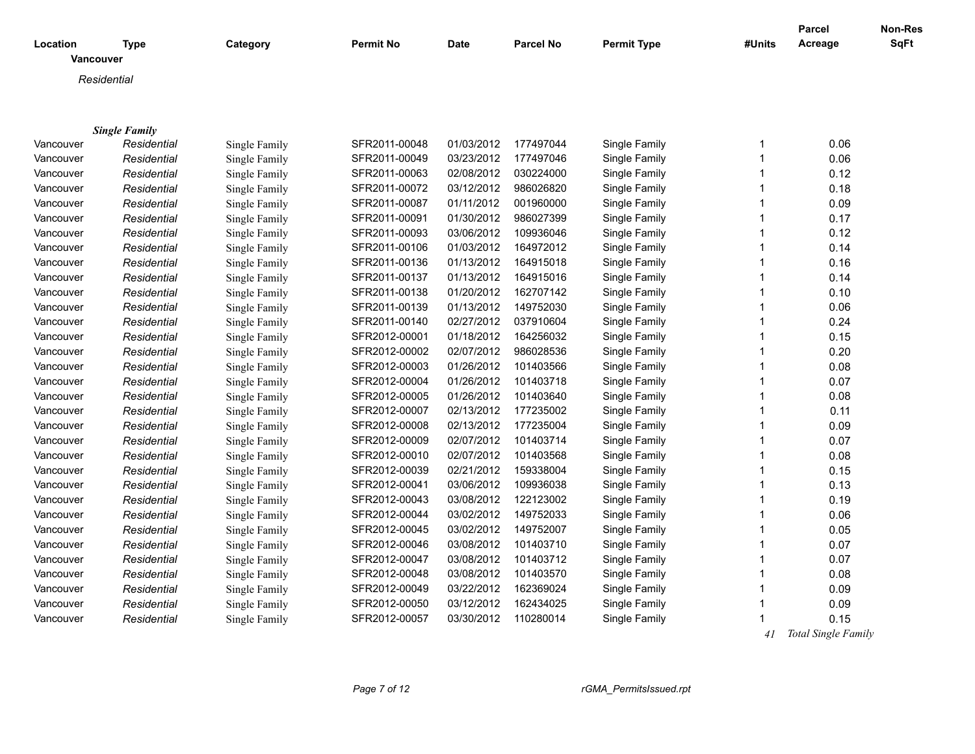|           |                                     |               |                  |             |                  |                    |        | <b>Parcel</b> | Non-Res     |
|-----------|-------------------------------------|---------------|------------------|-------------|------------------|--------------------|--------|---------------|-------------|
| Location  | <b>Type</b><br>Vancouver            | Category      | <b>Permit No</b> | <b>Date</b> | <b>Parcel No</b> | <b>Permit Type</b> | #Units | Acreage       | <b>SqFt</b> |
|           | Residential                         |               |                  |             |                  |                    |        |               |             |
|           |                                     |               |                  |             |                  |                    |        |               |             |
|           |                                     |               |                  |             |                  |                    |        |               |             |
|           |                                     |               |                  |             |                  |                    |        |               |             |
| Vancouver | <b>Single Family</b><br>Residential | Single Family | SFR2011-00048    | 01/03/2012  | 177497044        | Single Family      | 1      | 0.06          |             |
| Vancouver | Residential                         | Single Family | SFR2011-00049    | 03/23/2012  | 177497046        | Single Family      | 1      | 0.06          |             |
| Vancouver | Residential                         | Single Family | SFR2011-00063    | 02/08/2012  | 030224000        | Single Family      | 1      | 0.12          |             |
| Vancouver | Residential                         | Single Family | SFR2011-00072    | 03/12/2012  | 986026820        | Single Family      | 1      | 0.18          |             |
| Vancouver | Residential                         | Single Family | SFR2011-00087    | 01/11/2012  | 001960000        | Single Family      | 1      | 0.09          |             |
| Vancouver | Residential                         | Single Family | SFR2011-00091    | 01/30/2012  | 986027399        | Single Family      | 1      | 0.17          |             |
| Vancouver | Residential                         | Single Family | SFR2011-00093    | 03/06/2012  | 109936046        | Single Family      | 1      | 0.12          |             |
| Vancouver | Residential                         | Single Family | SFR2011-00106    | 01/03/2012  | 164972012        | Single Family      | 1      | 0.14          |             |
| Vancouver | Residential                         | Single Family | SFR2011-00136    | 01/13/2012  | 164915018        | Single Family      | 1      | 0.16          |             |
| Vancouver | Residential                         | Single Family | SFR2011-00137    | 01/13/2012  | 164915016        | Single Family      | 1      | 0.14          |             |
| Vancouver | Residential                         | Single Family | SFR2011-00138    | 01/20/2012  | 162707142        | Single Family      | 1      | 0.10          |             |
| Vancouver | Residential                         | Single Family | SFR2011-00139    | 01/13/2012  | 149752030        | Single Family      | 1      | 0.06          |             |
| Vancouver | Residential                         | Single Family | SFR2011-00140    | 02/27/2012  | 037910604        | Single Family      | 1      | 0.24          |             |
| Vancouver | Residential                         | Single Family | SFR2012-00001    | 01/18/2012  | 164256032        | Single Family      | 1      | 0.15          |             |
| Vancouver | Residential                         | Single Family | SFR2012-00002    | 02/07/2012  | 986028536        | Single Family      | 1      | 0.20          |             |
| Vancouver | Residential                         | Single Family | SFR2012-00003    | 01/26/2012  | 101403566        | Single Family      | 1      | 0.08          |             |
| Vancouver | Residential                         | Single Family | SFR2012-00004    | 01/26/2012  | 101403718        | Single Family      | 1      | 0.07          |             |
| Vancouver | Residential                         | Single Family | SFR2012-00005    | 01/26/2012  | 101403640        | Single Family      | 1      | 0.08          |             |
| Vancouver | Residential                         | Single Family | SFR2012-00007    | 02/13/2012  | 177235002        | Single Family      | 1      | 0.11          |             |
| Vancouver | Residential                         | Single Family | SFR2012-00008    | 02/13/2012  | 177235004        | Single Family      | 1      | 0.09          |             |
| Vancouver | Residential                         | Single Family | SFR2012-00009    | 02/07/2012  | 101403714        | Single Family      | 1      | 0.07          |             |
| Vancouver | Residential                         | Single Family | SFR2012-00010    | 02/07/2012  | 101403568        | Single Family      | 1      | 0.08          |             |
| Vancouver | Residential                         | Single Family | SFR2012-00039    | 02/21/2012  | 159338004        | Single Family      | 1      | 0.15          |             |
| Vancouver | Residential                         | Single Family | SFR2012-00041    | 03/06/2012  | 109936038        | Single Family      | 1      | 0.13          |             |
| Vancouver | Residential                         | Single Family | SFR2012-00043    | 03/08/2012  | 122123002        | Single Family      | 1      | 0.19          |             |
| Vancouver | Residential                         | Single Family | SFR2012-00044    | 03/02/2012  | 149752033        | Single Family      | 1      | 0.06          |             |
| Vancouver | Residential                         | Single Family | SFR2012-00045    | 03/02/2012  | 149752007        | Single Family      | 1      | 0.05          |             |
| Vancouver | Residential                         | Single Family | SFR2012-00046    | 03/08/2012  | 101403710        | Single Family      | 1      | 0.07          |             |
| Vancouver | Residential                         | Single Family | SFR2012-00047    | 03/08/2012  | 101403712        | Single Family      | 1      | 0.07          |             |
| Vancouver | Residential                         | Single Family | SFR2012-00048    | 03/08/2012  | 101403570        | Single Family      | 1      | 0.08          |             |
| Vancouver | Residential                         | Single Family | SFR2012-00049    | 03/22/2012  | 162369024        | Single Family      | 1      | 0.09          |             |
| Vancouver | Residential                         | Single Family | SFR2012-00050    | 03/12/2012  | 162434025        | Single Family      | 1      | 0.09          |             |
| Vancouver | Residential                         | Single Family | SFR2012-00057    | 03/30/2012  | 110280014        | Single Family      | 1      | 0.15          |             |
|           |                                     |               |                  |             |                  |                    |        |               |             |

 *41 Total Single Family*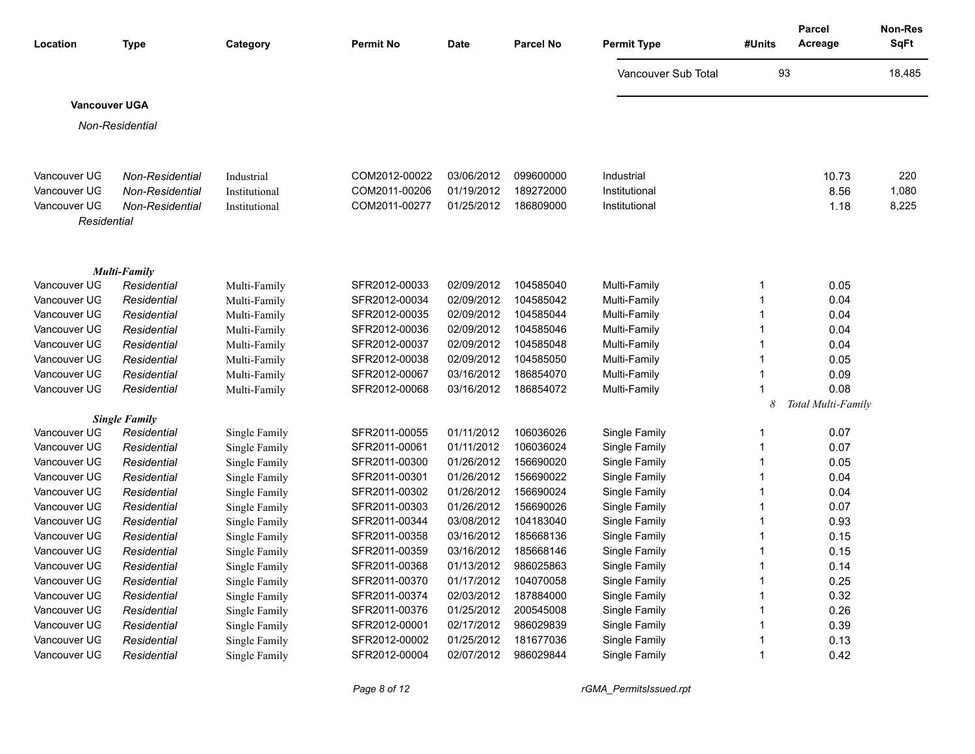| Location                     | <b>Type</b>                                      | Category                    | <b>Permit No</b>               | <b>Date</b>              | Parcel No              | <b>Permit Type</b>          | #Units      | Parcel<br>Acreage          | Non-Res<br>SqFt |
|------------------------------|--------------------------------------------------|-----------------------------|--------------------------------|--------------------------|------------------------|-----------------------------|-------------|----------------------------|-----------------|
|                              |                                                  |                             |                                |                          |                        | Vancouver Sub Total         | 93          |                            | 18,485          |
| <b>Vancouver UGA</b>         |                                                  |                             |                                |                          |                        |                             |             |                            |                 |
|                              | Non-Residential                                  |                             |                                |                          |                        |                             |             |                            |                 |
|                              |                                                  |                             |                                |                          |                        |                             |             |                            |                 |
|                              |                                                  |                             |                                |                          |                        |                             |             |                            |                 |
| Vancouver UG<br>Vancouver UG | <b>Non-Residential</b><br><b>Non-Residential</b> | Industrial<br>Institutional | COM2012-00022<br>COM2011-00206 | 03/06/2012<br>01/19/2012 | 099600000<br>189272000 | Industrial<br>Institutional |             | 10.73<br>8.56              | 220<br>1,080    |
| Vancouver UG                 | <b>Non-Residential</b>                           | Institutional               | COM2011-00277                  | 01/25/2012               | 186809000              | Institutional               |             | 1.18                       | 8,225           |
| Residential                  |                                                  |                             |                                |                          |                        |                             |             |                            |                 |
|                              |                                                  |                             |                                |                          |                        |                             |             |                            |                 |
|                              |                                                  |                             |                                |                          |                        |                             |             |                            |                 |
|                              | <b>Multi-Family</b>                              |                             |                                |                          |                        |                             |             |                            |                 |
| Vancouver UG                 | Residential                                      | Multi-Family                | SFR2012-00033                  | 02/09/2012               | 104585040              | Multi-Family                | -1          | 0.05                       |                 |
| Vancouver UG                 | Residential                                      | Multi-Family                | SFR2012-00034                  | 02/09/2012               | 104585042              | Multi-Family                | $\mathbf 1$ | 0.04                       |                 |
| Vancouver UG                 | Residential                                      | Multi-Family                | SFR2012-00035                  | 02/09/2012               | 104585044              | Multi-Family                |             | 0.04                       |                 |
| Vancouver UG                 | Residential                                      | Multi-Family                | SFR2012-00036                  | 02/09/2012               | 104585046              | Multi-Family                | -1          | 0.04                       |                 |
| Vancouver UG                 | Residential                                      | Multi-Family                | SFR2012-00037                  | 02/09/2012               | 104585048              | Multi-Family                | -1<br>1     | 0.04                       |                 |
| Vancouver UG                 | Residential                                      | Multi-Family                | SFR2012-00038                  | 02/09/2012               | 104585050              | Multi-Family                |             | 0.05                       |                 |
| Vancouver UG                 | Residential                                      | Multi-Family                | SFR2012-00067                  | 03/16/2012               | 186854070              | Multi-Family                | -1          | 0.09                       |                 |
| Vancouver UG                 | Residential                                      | Multi-Family                | SFR2012-00068                  | 03/16/2012               | 186854072              | Multi-Family                | 8           | 0.08<br>Total Multi-Family |                 |
|                              | <b>Single Family</b>                             |                             |                                |                          |                        |                             |             |                            |                 |
| Vancouver UG                 | Residential                                      | Single Family               | SFR2011-00055                  | 01/11/2012               | 106036026              | Single Family               | -1          | 0.07                       |                 |
| Vancouver UG                 | Residential                                      | Single Family               | SFR2011-00061                  | 01/11/2012               | 106036024              | Single Family               | 1           | 0.07                       |                 |
| Vancouver UG                 | Residential                                      | Single Family               | SFR2011-00300                  | 01/26/2012               | 156690020              | Single Family               | 1           | 0.05                       |                 |
| Vancouver UG                 | Residential                                      | Single Family               | SFR2011-00301                  | 01/26/2012               | 156690022              | Single Family               | -1          | 0.04                       |                 |
| Vancouver UG                 | Residential                                      | Single Family               | SFR2011-00302                  | 01/26/2012               | 156690024              | Single Family               | -1          | 0.04                       |                 |
| Vancouver UG                 | Residential                                      | Single Family               | SFR2011-00303                  | 01/26/2012               | 156690026              | Single Family               | -1          | 0.07                       |                 |
| Vancouver UG                 | Residential                                      | Single Family               | SFR2011-00344                  | 03/08/2012               | 104183040              | Single Family               |             | 0.93                       |                 |
| Vancouver UG                 | Residential                                      | Single Family               | SFR2011-00358                  | 03/16/2012               | 185668136              | Single Family               | -1          | 0.15                       |                 |
| Vancouver UG                 | Residential                                      | Single Family               | SFR2011-00359                  | 03/16/2012               | 185668146              | Single Family               |             | 0.15                       |                 |
| Vancouver UG                 | Residential                                      | Single Family               | SFR2011-00368                  | 01/13/2012               | 986025863              | Single Family               | -1          | 0.14                       |                 |
| Vancouver UG                 | Residential                                      | Single Family               | SFR2011-00370                  | 01/17/2012               | 104070058              | Single Family               | 1           | 0.25                       |                 |
| Vancouver UG                 | Residential                                      | Single Family               | SFR2011-00374                  | 02/03/2012               | 187884000              | Single Family               | -1          | 0.32                       |                 |
| Vancouver UG                 | Residential                                      | Single Family               | SFR2011-00376                  | 01/25/2012               | 200545008              | Single Family               | -1          | 0.26                       |                 |
| Vancouver UG                 | Residential                                      | Single Family               | SFR2012-00001                  | 02/17/2012               | 986029839              | Single Family               | $\mathbf 1$ | 0.39                       |                 |
| Vancouver UG                 | Residential                                      | Single Family               | SFR2012-00002                  | 01/25/2012               | 181677036              | Single Family               | -1          | 0.13                       |                 |
| Vancouver UG                 | Residential                                      | Single Family               | SFR2012-00004                  | 02/07/2012               | 986029844              | Single Family               |             | 0.42                       |                 |

*Page 8 of 12 rGMA\_PermitsIssued.rpt*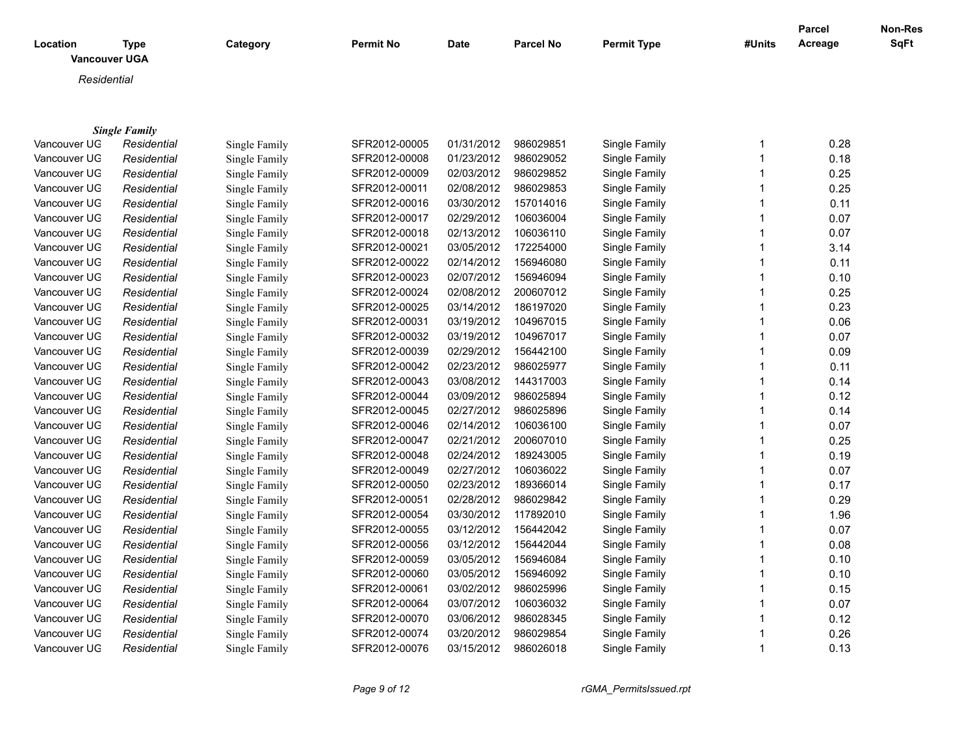| Location | <b>Type</b><br><b>Vancouver UGA</b> | Category | <b>Permit No</b> | Date | <b>Parcel No</b> | <b>Permit Type</b> | #Units | Parcel<br>Acreage | <b>Non-Res</b><br>SqFt |
|----------|-------------------------------------|----------|------------------|------|------------------|--------------------|--------|-------------------|------------------------|
|          | Residential                         |          |                  |      |                  |                    |        |                   |                        |
|          |                                     |          |                  |      |                  |                    |        |                   |                        |
|          |                                     |          |                  |      |                  |                    |        |                   |                        |
|          | <b>Single Family</b>                |          |                  |      |                  |                    |        |                   |                        |

| Vancouver UG | Residential | Single Family | SFR2012-00005 | 01/31/2012 | 986029851 | Single Family | 0.28 |
|--------------|-------------|---------------|---------------|------------|-----------|---------------|------|
| Vancouver UG | Residential | Single Family | SFR2012-00008 | 01/23/2012 | 986029052 | Single Family | 0.18 |
| Vancouver UG | Residential | Single Family | SFR2012-00009 | 02/03/2012 | 986029852 | Single Family | 0.25 |
| Vancouver UG | Residential | Single Family | SFR2012-00011 | 02/08/2012 | 986029853 | Single Family | 0.25 |
| Vancouver UG | Residential | Single Family | SFR2012-00016 | 03/30/2012 | 157014016 | Single Family | 0.11 |
| Vancouver UG | Residential | Single Family | SFR2012-00017 | 02/29/2012 | 106036004 | Single Family | 0.07 |
| Vancouver UG | Residential | Single Family | SFR2012-00018 | 02/13/2012 | 106036110 | Single Family | 0.07 |
| Vancouver UG | Residential | Single Family | SFR2012-00021 | 03/05/2012 | 172254000 | Single Family | 3.14 |
| Vancouver UG | Residential | Single Family | SFR2012-00022 | 02/14/2012 | 156946080 | Single Family | 0.11 |
| Vancouver UG | Residential | Single Family | SFR2012-00023 | 02/07/2012 | 156946094 | Single Family | 0.10 |
| Vancouver UG | Residential | Single Family | SFR2012-00024 | 02/08/2012 | 200607012 | Single Family | 0.25 |
| Vancouver UG | Residential | Single Family | SFR2012-00025 | 03/14/2012 | 186197020 | Single Family | 0.23 |
| Vancouver UG | Residential | Single Family | SFR2012-00031 | 03/19/2012 | 104967015 | Single Family | 0.06 |
| Vancouver UG | Residential | Single Family | SFR2012-00032 | 03/19/2012 | 104967017 | Single Family | 0.07 |
| Vancouver UG | Residential | Single Family | SFR2012-00039 | 02/29/2012 | 156442100 | Single Family | 0.09 |
| Vancouver UG | Residential | Single Family | SFR2012-00042 | 02/23/2012 | 986025977 | Single Family | 0.11 |
| Vancouver UG | Residential | Single Family | SFR2012-00043 | 03/08/2012 | 144317003 | Single Family | 0.14 |
| Vancouver UG | Residential | Single Family | SFR2012-00044 | 03/09/2012 | 986025894 | Single Family | 0.12 |
| Vancouver UG | Residential | Single Family | SFR2012-00045 | 02/27/2012 | 986025896 | Single Family | 0.14 |
| Vancouver UG | Residential | Single Family | SFR2012-00046 | 02/14/2012 | 106036100 | Single Family | 0.07 |
| Vancouver UG | Residential | Single Family | SFR2012-00047 | 02/21/2012 | 200607010 | Single Family | 0.25 |
| Vancouver UG | Residential | Single Family | SFR2012-00048 | 02/24/2012 | 189243005 | Single Family | 0.19 |
| Vancouver UG | Residential | Single Family | SFR2012-00049 | 02/27/2012 | 106036022 | Single Family | 0.07 |
| Vancouver UG | Residential | Single Family | SFR2012-00050 | 02/23/2012 | 189366014 | Single Family | 0.17 |
| Vancouver UG | Residential | Single Family | SFR2012-00051 | 02/28/2012 | 986029842 | Single Family | 0.29 |
| Vancouver UG | Residential | Single Family | SFR2012-00054 | 03/30/2012 | 117892010 | Single Family | 1.96 |
| Vancouver UG | Residential | Single Family | SFR2012-00055 | 03/12/2012 | 156442042 | Single Family | 0.07 |
| Vancouver UG | Residential | Single Family | SFR2012-00056 | 03/12/2012 | 156442044 | Single Family | 0.08 |
| Vancouver UG | Residential | Single Family | SFR2012-00059 | 03/05/2012 | 156946084 | Single Family | 0.10 |
| Vancouver UG | Residential | Single Family | SFR2012-00060 | 03/05/2012 | 156946092 | Single Family | 0.10 |
| Vancouver UG | Residential | Single Family | SFR2012-00061 | 03/02/2012 | 986025996 | Single Family | 0.15 |
| Vancouver UG | Residential | Single Family | SFR2012-00064 | 03/07/2012 | 106036032 | Single Family | 0.07 |
| Vancouver UG | Residential | Single Family | SFR2012-00070 | 03/06/2012 | 986028345 | Single Family | 0.12 |
| Vancouver UG | Residential | Single Family | SFR2012-00074 | 03/20/2012 | 986029854 | Single Family | 0.26 |
| Vancouver UG | Residential | Single Family | SFR2012-00076 | 03/15/2012 | 986026018 | Single Family | 0.13 |
|              |             |               |               |            |           |               |      |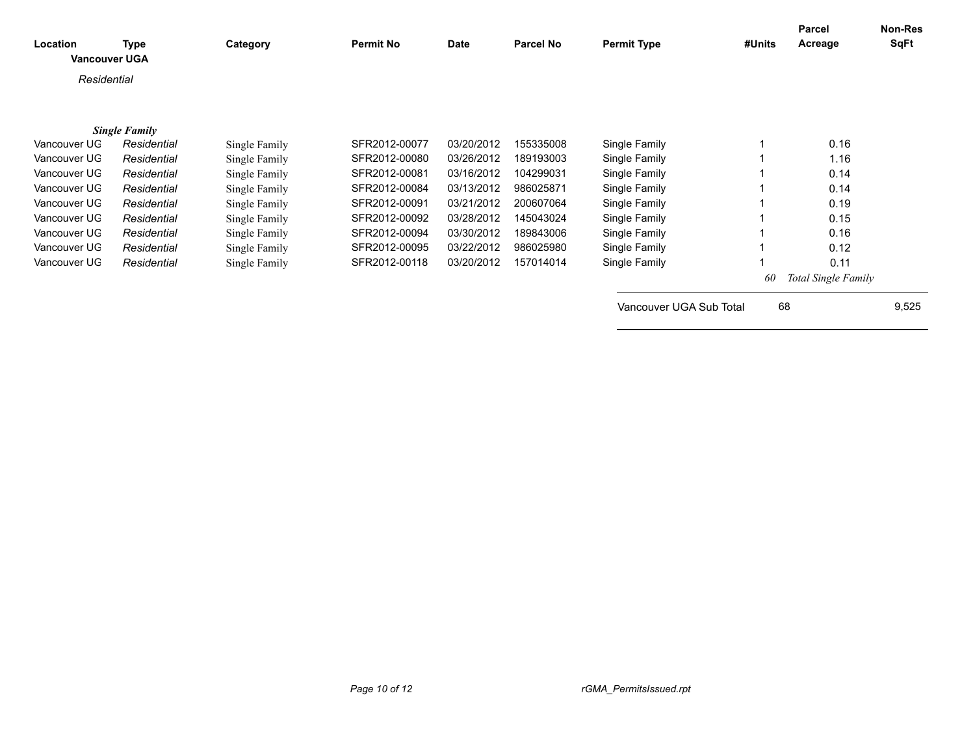| Location<br><b>Vancouver UGA</b> | <b>Type</b>          | Category      | <b>Permit No</b> | <b>Date</b> | Parcel No | <b>Permit Type</b>      | #Units | Parcel<br>Acreage   | <b>Non-Res</b><br>SqFt |
|----------------------------------|----------------------|---------------|------------------|-------------|-----------|-------------------------|--------|---------------------|------------------------|
| Residential                      |                      |               |                  |             |           |                         |        |                     |                        |
|                                  |                      |               |                  |             |           |                         |        |                     |                        |
|                                  | <b>Single Family</b> |               |                  |             |           |                         |        |                     |                        |
| Vancouver UG                     | Residential          | Single Family | SFR2012-00077    | 03/20/2012  | 155335008 | Single Family           |        | 0.16                |                        |
| Vancouver UG                     | Residential          | Single Family | SFR2012-00080    | 03/26/2012  | 189193003 | Single Family           |        | 1.16                |                        |
| Vancouver UG                     | Residential          | Single Family | SFR2012-00081    | 03/16/2012  | 104299031 | Single Family           |        | 0.14                |                        |
| Vancouver UG                     | Residential          | Single Family | SFR2012-00084    | 03/13/2012  | 986025871 | Single Family           |        | 0.14                |                        |
| Vancouver UG                     | Residential          | Single Family | SFR2012-00091    | 03/21/2012  | 200607064 | Single Family           |        | 0.19                |                        |
| Vancouver UG                     | Residential          | Single Family | SFR2012-00092    | 03/28/2012  | 145043024 | Single Family           |        | 0.15                |                        |
| Vancouver UG                     | Residential          | Single Family | SFR2012-00094    | 03/30/2012  | 189843006 | Single Family           |        | 0.16                |                        |
| Vancouver UG                     | Residential          | Single Family | SFR2012-00095    | 03/22/2012  | 986025980 | Single Family           |        | 0.12                |                        |
| Vancouver UG                     | Residential          | Single Family | SFR2012-00118    | 03/20/2012  | 157014014 | Single Family           |        | 0.11                |                        |
|                                  |                      |               |                  |             |           |                         | 60     | Total Single Family |                        |
|                                  |                      |               |                  |             |           | Vancouver UGA Sub Total | 68     |                     | 9,525                  |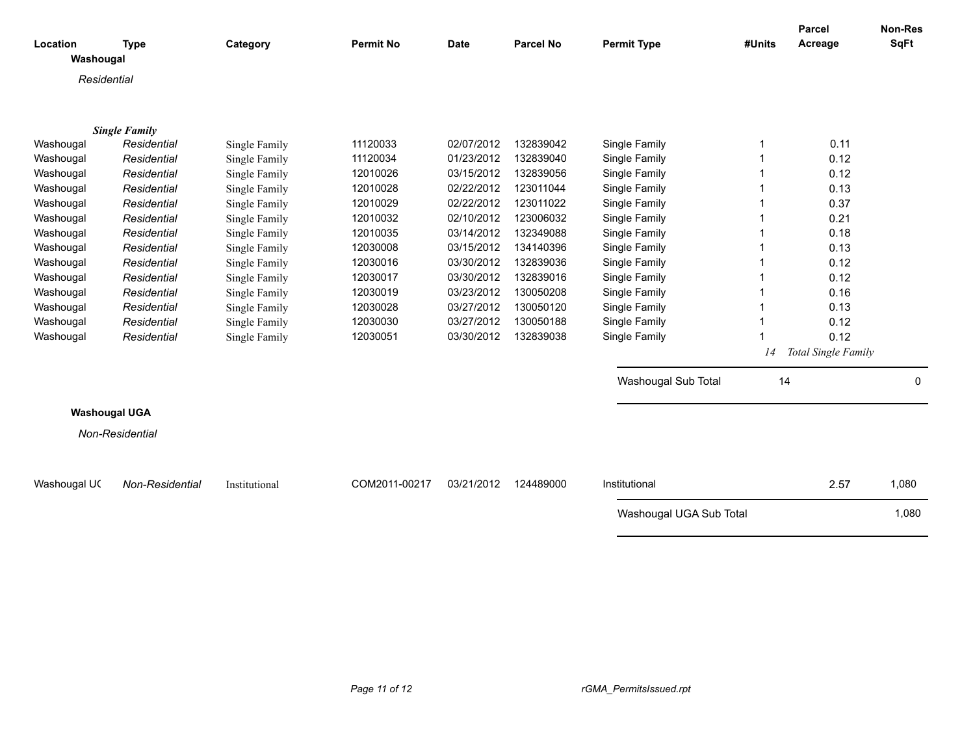|                      |                      |               |                  |             |                  |                         |        | <b>Parcel</b>       | Non-Res     |
|----------------------|----------------------|---------------|------------------|-------------|------------------|-------------------------|--------|---------------------|-------------|
| Location             | <b>Type</b>          | Category      | <b>Permit No</b> | <b>Date</b> | <b>Parcel No</b> | <b>Permit Type</b>      | #Units | Acreage             | SqFt        |
| Washougal            |                      |               |                  |             |                  |                         |        |                     |             |
| Residential          |                      |               |                  |             |                  |                         |        |                     |             |
|                      |                      |               |                  |             |                  |                         |        |                     |             |
|                      |                      |               |                  |             |                  |                         |        |                     |             |
|                      | <b>Single Family</b> |               |                  |             |                  |                         |        |                     |             |
| Washougal            | Residential          | Single Family | 11120033         | 02/07/2012  | 132839042        | Single Family           | 1      | 0.11                |             |
| Washougal            | Residential          | Single Family | 11120034         | 01/23/2012  | 132839040        | Single Family           | 1      | 0.12                |             |
| Washougal            | Residential          | Single Family | 12010026         | 03/15/2012  | 132839056        | Single Family           | 1      | 0.12                |             |
| Washougal            | Residential          | Single Family | 12010028         | 02/22/2012  | 123011044        | Single Family           |        | 0.13                |             |
| Washougal            | Residential          | Single Family | 12010029         | 02/22/2012  | 123011022        | Single Family           |        | 0.37                |             |
| Washougal            | Residential          | Single Family | 12010032         | 02/10/2012  | 123006032        | Single Family           |        | 0.21                |             |
| Washougal            | Residential          | Single Family | 12010035         | 03/14/2012  | 132349088        | Single Family           |        | 0.18                |             |
| Washougal            | Residential          | Single Family | 12030008         | 03/15/2012  | 134140396        | Single Family           |        | 0.13                |             |
| Washougal            | Residential          | Single Family | 12030016         | 03/30/2012  | 132839036        | Single Family           | 1      | 0.12                |             |
| Washougal            | Residential          | Single Family | 12030017         | 03/30/2012  | 132839016        | Single Family           |        | 0.12                |             |
| Washougal            | Residential          | Single Family | 12030019         | 03/23/2012  | 130050208        | Single Family           |        | 0.16                |             |
| Washougal            | Residential          | Single Family | 12030028         | 03/27/2012  | 130050120        | Single Family           |        | 0.13                |             |
| Washougal            | Residential          | Single Family | 12030030         | 03/27/2012  | 130050188        | Single Family           | 1      | 0.12                |             |
| Washougal            | Residential          | Single Family | 12030051         | 03/30/2012  | 132839038        | Single Family           |        | 0.12                |             |
|                      |                      |               |                  |             |                  |                         | 14     | Total Single Family |             |
|                      |                      |               |                  |             |                  | Washougal Sub Total     | 14     |                     | $\mathbf 0$ |
|                      |                      |               |                  |             |                  |                         |        |                     |             |
| <b>Washougal UGA</b> |                      |               |                  |             |                  |                         |        |                     |             |
|                      | Non-Residential      |               |                  |             |                  |                         |        |                     |             |
|                      |                      |               |                  |             |                  |                         |        |                     |             |
| Washougal UC         | Non-Residential      | Institutional | COM2011-00217    | 03/21/2012  | 124489000        | Institutional           |        | 2.57                | 1,080       |
|                      |                      |               |                  |             |                  |                         |        |                     |             |
|                      |                      |               |                  |             |                  | Washougal UGA Sub Total |        |                     | 1,080       |
|                      |                      |               |                  |             |                  |                         |        |                     |             |